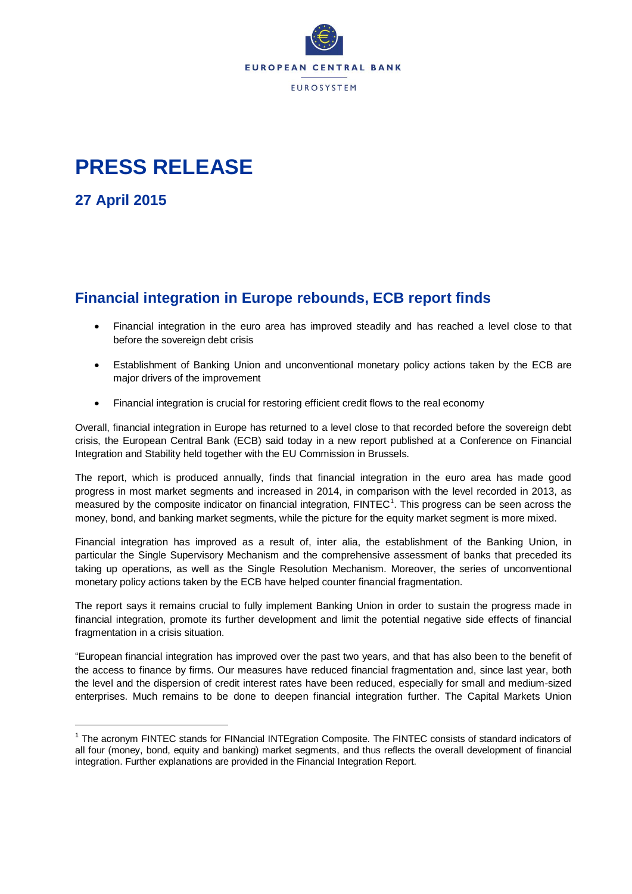

## **PRESS RELEASE**

**27 April 2015**

 $\ddot{\phantom{a}}$ 

## **Financial integration in Europe rebounds, ECB report finds**

- Financial integration in the euro area has improved steadily and has reached a level close to that before the sovereign debt crisis
- Establishment of Banking Union and unconventional monetary policy actions taken by the ECB are major drivers of the improvement
- Financial integration is crucial for restoring efficient credit flows to the real economy

Overall, financial integration in Europe has returned to a level close to that recorded before the sovereign debt crisis, the European Central Bank (ECB) said today in a new report published at a Conference on Financial Integration and Stability held together with the EU Commission in Brussels.

The report, which is produced annually, finds that financial integration in the euro area has made good progress in most market segments and increased in 2014, in comparison with the level recorded in 2013, as measured by the composite indicator on financial integration,  $FINTEC<sup>1</sup>$ . This progress can be seen across the money, bond, and banking market segments, while the picture for the equity market segment is more mixed.

Financial integration has improved as a result of, inter alia, the establishment of the Banking Union, in particular the Single Supervisory Mechanism and the comprehensive assessment of banks that preceded its taking up operations, as well as the Single Resolution Mechanism. Moreover, the series of unconventional monetary policy actions taken by the ECB have helped counter financial fragmentation.

The report says it remains crucial to fully implement Banking Union in order to sustain the progress made in financial integration, promote its further development and limit the potential negative side effects of financial fragmentation in a crisis situation.

"European financial integration has improved over the past two years, and that has also been to the benefit of the access to finance by firms. Our measures have reduced financial fragmentation and, since last year, both the level and the dispersion of credit interest rates have been reduced, especially for small and medium-sized enterprises. Much remains to be done to deepen financial integration further. The Capital Markets Union

<sup>&</sup>lt;sup>1</sup> The acronym FINTEC stands for FINancial INTEgration Composite. The FINTEC consists of standard indicators of all four (money, bond, equity and banking) market segments, and thus reflects the overall development of financial integration. Further explanations are provided in the Financial Integration Report.